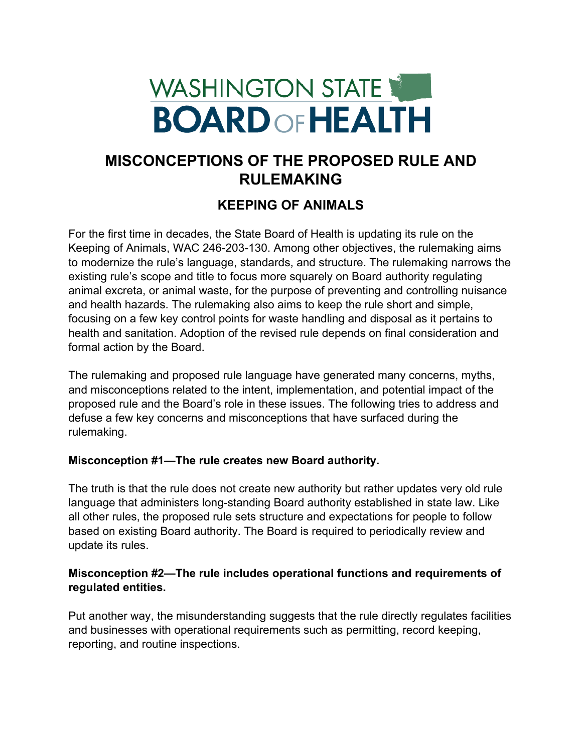# WASHINGTON STATE **BOARD OF HEALTH**

## **MISCONCEPTIONS OF THE PROPOSED RULE AND RULEMAKING**

### **KEEPING OF ANIMALS**

For the first time in decades, the State Board of Health is updating its rule on the Keeping of Animals, WAC 246-203-130. Among other objectives, the rulemaking aims to modernize the rule's language, standards, and structure. The rulemaking narrows the existing rule's scope and title to focus more squarely on Board authority regulating animal excreta, or animal waste, for the purpose of preventing and controlling nuisance and health hazards. The rulemaking also aims to keep the rule short and simple, focusing on a few key control points for waste handling and disposal as it pertains to health and sanitation. Adoption of the revised rule depends on final consideration and formal action by the Board.

The rulemaking and proposed rule language have generated many concerns, myths, and misconceptions related to the intent, implementation, and potential impact of the proposed rule and the Board's role in these issues. The following tries to address and defuse a few key concerns and misconceptions that have surfaced during the rulemaking.

#### **Misconception #1—The rule creates new Board authority.**

The truth is that the rule does not create new authority but rather updates very old rule language that administers long-standing Board authority established in state law. Like all other rules, the proposed rule sets structure and expectations for people to follow based on existing Board authority. The Board is required to periodically review and update its rules.

#### **Misconception #2—The rule includes operational functions and requirements of regulated entities.**

Put another way, the misunderstanding suggests that the rule directly regulates facilities and businesses with operational requirements such as permitting, record keeping, reporting, and routine inspections.